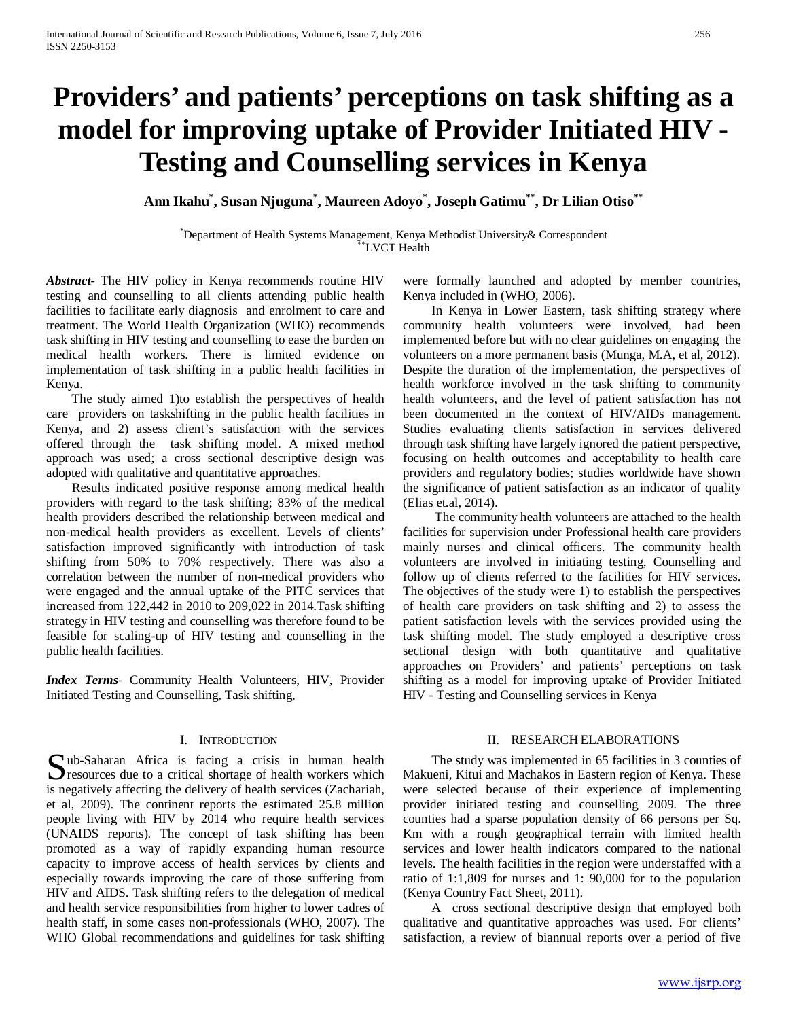# **Providers' and patients' perceptions on task shifting as a model for improving uptake of Provider Initiated HIV - Testing and Counselling services in Kenya**

**Ann Ikahu\* , Susan Njuguna\* , Maureen Adoyo\* , Joseph Gatimu\*\*, Dr Lilian Otiso\*\***

\* Department of Health Systems Management, Kenya Methodist University& Correspondent \*\*LVCT Health

*Abstract***-** The HIV policy in Kenya recommends routine HIV testing and counselling to all clients attending public health facilities to facilitate early diagnosis and enrolment to care and treatment. The World Health Organization (WHO) recommends task shifting in HIV testing and counselling to ease the burden on medical health workers. There is limited evidence on implementation of task shifting in a public health facilities in Kenya.

 The study aimed 1)to establish the perspectives of health care providers on taskshifting in the public health facilities in Kenya, and 2) assess client's satisfaction with the services offered through the task shifting model. A mixed method approach was used; a cross sectional descriptive design was adopted with qualitative and quantitative approaches.

 Results indicated positive response among medical health providers with regard to the task shifting; 83% of the medical health providers described the relationship between medical and non-medical health providers as excellent. Levels of clients' satisfaction improved significantly with introduction of task shifting from 50% to 70% respectively. There was also a correlation between the number of non-medical providers who were engaged and the annual uptake of the PITC services that increased from 122,442 in 2010 to 209,022 in 2014.Task shifting strategy in HIV testing and counselling was therefore found to be feasible for scaling-up of HIV testing and counselling in the public health facilities.

*Index Terms*- Community Health Volunteers, HIV, Provider Initiated Testing and Counselling, Task shifting,

## I. INTRODUCTION

 $\bigcap$  ub-Saharan Africa is facing a crisis in human health  $\sum$ ub-Saharan Africa is facing a crisis in human health<br>
Second to a critical shortage of health workers which<br>
Second to the deliberation of the deliberation (Zaharida is negatively affecting the delivery of health services (Zachariah, et al, 2009). The continent reports the estimated 25.8 million people living with HIV by 2014 who require health services (UNAIDS reports). The concept of task shifting has been promoted as a way of rapidly expanding human resource capacity to improve access of health services by clients and especially towards improving the care of those suffering from HIV and AIDS. Task shifting refers to the delegation of medical and health service responsibilities from higher to lower cadres of health staff, in some cases non-professionals (WHO, 2007). The WHO Global recommendations and guidelines for task shifting

were formally launched and adopted by member countries, Kenya included in (WHO, 2006).

 In Kenya in Lower Eastern, task shifting strategy where community health volunteers were involved, had been implemented before but with no clear guidelines on engaging the volunteers on a more permanent basis (Munga, M.A, et al, 2012). Despite the duration of the implementation, the perspectives of health workforce involved in the task shifting to community health volunteers, and the level of patient satisfaction has not been documented in the context of HIV/AIDs management. Studies evaluating clients satisfaction in services delivered through task shifting have largely ignored the patient perspective, focusing on health outcomes and acceptability to health care providers and regulatory bodies; studies worldwide have shown the significance of patient satisfaction as an indicator of quality (Elias et.al, 2014).

 The community health volunteers are attached to the health facilities for supervision under Professional health care providers mainly nurses and clinical officers. The community health volunteers are involved in initiating testing, Counselling and follow up of clients referred to the facilities for HIV services. The objectives of the study were 1) to establish the perspectives of health care providers on task shifting and 2) to assess the patient satisfaction levels with the services provided using the task shifting model. The study employed a descriptive cross sectional design with both quantitative and qualitative approaches on Providers' and patients' perceptions on task shifting as a model for improving uptake of Provider Initiated HIV - Testing and Counselling services in Kenya

## II. RESEARCH ELABORATIONS

 The study was implemented in 65 facilities in 3 counties of Makueni, Kitui and Machakos in Eastern region of Kenya. These were selected because of their experience of implementing provider initiated testing and counselling 2009. The three counties had a sparse population density of 66 persons per Sq. Km with a rough geographical terrain with limited health services and lower health indicators compared to the national levels. The health facilities in the region were understaffed with a ratio of 1:1,809 for nurses and 1: 90,000 for to the population (Kenya Country Fact Sheet, 2011).

 A cross sectional descriptive design that employed both qualitative and quantitative approaches was used. For clients' satisfaction, a review of biannual reports over a period of five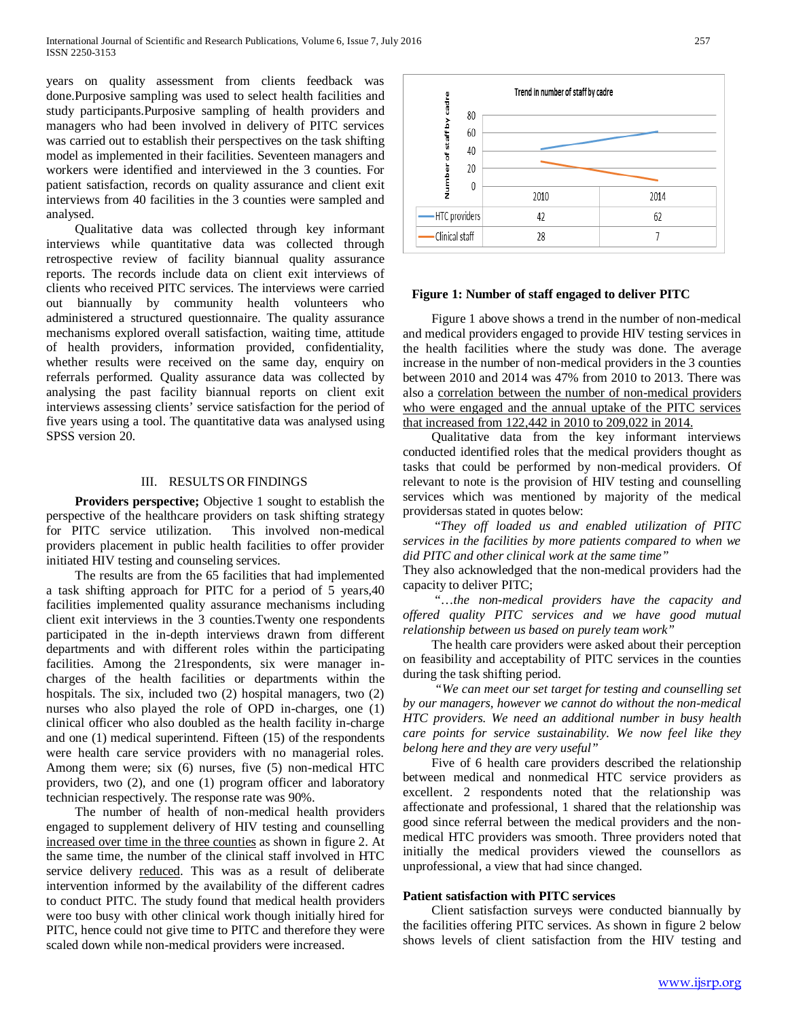years on quality assessment from clients feedback was done.Purposive sampling was used to select health facilities and study participants.Purposive sampling of health providers and managers who had been involved in delivery of PITC services was carried out to establish their perspectives on the task shifting model as implemented in their facilities. Seventeen managers and workers were identified and interviewed in the 3 counties. For patient satisfaction, records on quality assurance and client exit interviews from 40 facilities in the 3 counties were sampled and analysed.

 Qualitative data was collected through key informant interviews while quantitative data was collected through retrospective review of facility biannual quality assurance reports. The records include data on client exit interviews of clients who received PITC services. The interviews were carried out biannually by community health volunteers who administered a structured questionnaire. The quality assurance mechanisms explored overall satisfaction, waiting time, attitude of health providers, information provided, confidentiality, whether results were received on the same day, enquiry on referrals performed. Quality assurance data was collected by analysing the past facility biannual reports on client exit interviews assessing clients' service satisfaction for the period of five years using a tool. The quantitative data was analysed using SPSS version 20.

# III. RESULTS OR FINDINGS

 **Providers perspective;** Objective 1 sought to establish the perspective of the healthcare providers on task shifting strategy for PITC service utilization. This involved non-medical providers placement in public health facilities to offer provider initiated HIV testing and counseling services.

 The results are from the 65 facilities that had implemented a task shifting approach for PITC for a period of 5 years,40 facilities implemented quality assurance mechanisms including client exit interviews in the 3 counties.Twenty one respondents participated in the in-depth interviews drawn from different departments and with different roles within the participating facilities. Among the 21respondents, six were manager incharges of the health facilities or departments within the hospitals. The six, included two (2) hospital managers, two (2) nurses who also played the role of OPD in-charges, one (1) clinical officer who also doubled as the health facility in-charge and one (1) medical superintend. Fifteen (15) of the respondents were health care service providers with no managerial roles. Among them were; six (6) nurses, five (5) non-medical HTC providers, two (2), and one (1) program officer and laboratory technician respectively. The response rate was 90%.

 The number of health of non-medical health providers engaged to supplement delivery of HIV testing and counselling increased over time in the three counties as shown in figure 2. At the same time, the number of the clinical staff involved in HTC service delivery reduced. This was as a result of deliberate intervention informed by the availability of the different cadres to conduct PITC. The study found that medical health providers were too busy with other clinical work though initially hired for PITC, hence could not give time to PITC and therefore they were scaled down while non-medical providers were increased.



## **Figure 1: Number of staff engaged to deliver PITC**

 Figure 1 above shows a trend in the number of non-medical and medical providers engaged to provide HIV testing services in the health facilities where the study was done. The average increase in the number of non-medical providers in the 3 counties between 2010 and 2014 was 47% from 2010 to 2013. There was also a correlation between the number of non-medical providers who were engaged and the annual uptake of the PITC services that increased from 122,442 in 2010 to 209,022 in 2014.

 Qualitative data from the key informant interviews conducted identified roles that the medical providers thought as tasks that could be performed by non-medical providers. Of relevant to note is the provision of HIV testing and counselling services which was mentioned by majority of the medical providersas stated in quotes below:

 "*They off loaded us and enabled utilization of PITC services in the facilities by more patients compared to when we did PITC and other clinical work at the same time"* 

They also acknowledged that the non-medical providers had the capacity to deliver PITC;

 "…*the non-medical providers have the capacity and offered quality PITC services and we have good mutual relationship between us based on purely team work"*

 The health care providers were asked about their perception on feasibility and acceptability of PITC services in the counties during the task shifting period.

 *"We can meet our set target for testing and counselling set by our managers, however we cannot do without the non-medical HTC providers. We need an additional number in busy health care points for service sustainability. We now feel like they belong here and they are very useful"*

 Five of 6 health care providers described the relationship between medical and nonmedical HTC service providers as excellent. 2 respondents noted that the relationship was affectionate and professional, 1 shared that the relationship was good since referral between the medical providers and the nonmedical HTC providers was smooth. Three providers noted that initially the medical providers viewed the counsellors as unprofessional, a view that had since changed.

#### **Patient satisfaction with PITC services**

 Client satisfaction surveys were conducted biannually by the facilities offering PITC services. As shown in figure 2 below shows levels of client satisfaction from the HIV testing and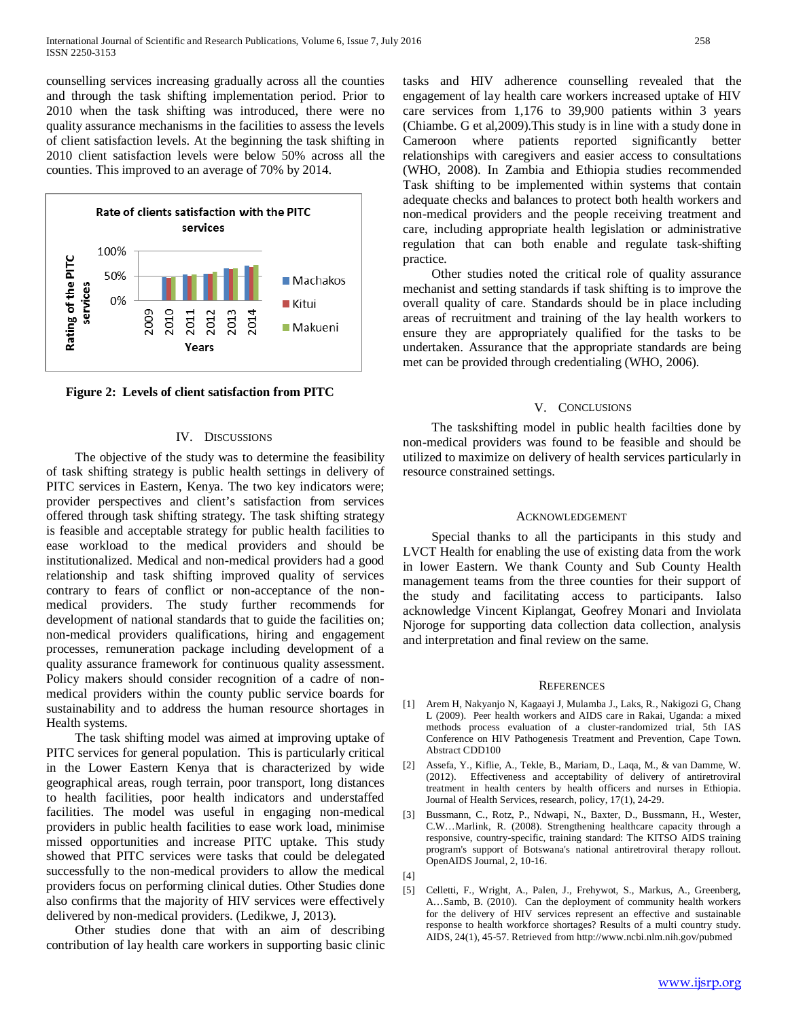counselling services increasing gradually across all the counties and through the task shifting implementation period. Prior to 2010 when the task shifting was introduced, there were no quality assurance mechanisms in the facilities to assess the levels of client satisfaction levels. At the beginning the task shifting in 2010 client satisfaction levels were below 50% across all the counties. This improved to an average of 70% by 2014.



 **Figure 2: Levels of client satisfaction from PITC** 

## IV. DISCUSSIONS

 The objective of the study was to determine the feasibility of task shifting strategy is public health settings in delivery of PITC services in Eastern, Kenya. The two key indicators were; provider perspectives and client's satisfaction from services offered through task shifting strategy. The task shifting strategy is feasible and acceptable strategy for public health facilities to ease workload to the medical providers and should be institutionalized. Medical and non-medical providers had a good relationship and task shifting improved quality of services contrary to fears of conflict or non-acceptance of the nonmedical providers. The study further recommends for development of national standards that to guide the facilities on; non-medical providers qualifications, hiring and engagement processes, remuneration package including development of a quality assurance framework for continuous quality assessment. Policy makers should consider recognition of a cadre of nonmedical providers within the county public service boards for sustainability and to address the human resource shortages in Health systems.

 The task shifting model was aimed at improving uptake of PITC services for general population. This is particularly critical in the Lower Eastern Kenya that is characterized by wide geographical areas, rough terrain, poor transport, long distances to health facilities, poor health indicators and understaffed facilities. The model was useful in engaging non-medical providers in public health facilities to ease work load, minimise missed opportunities and increase PITC uptake. This study showed that PITC services were tasks that could be delegated successfully to the non-medical providers to allow the medical providers focus on performing clinical duties. Other Studies done also confirms that the majority of HIV services were effectively delivered by non-medical providers. (Ledikwe, J, 2013).

 Other studies done that with an aim of describing contribution of lay health care workers in supporting basic clinic tasks and HIV adherence counselling revealed that the engagement of lay health care workers increased uptake of HIV care services from 1,176 to 39,900 patients within 3 years (Chiambe. G et al,2009).This study is in line with a study done in Cameroon where patients reported significantly better relationships with caregivers and easier access to consultations (WHO, 2008). In Zambia and Ethiopia studies recommended Task shifting to be implemented within systems that contain adequate checks and balances to protect both health workers and non-medical providers and the people receiving treatment and care, including appropriate health legislation or administrative regulation that can both enable and regulate task-shifting practice.

 Other studies noted the critical role of quality assurance mechanist and setting standards if task shifting is to improve the overall quality of care. Standards should be in place including areas of recruitment and training of the lay health workers to ensure they are appropriately qualified for the tasks to be undertaken. Assurance that the appropriate standards are being met can be provided through credentialing (WHO, 2006).

## V. CONCLUSIONS

 The taskshifting model in public health facilties done by non-medical providers was found to be feasible and should be utilized to maximize on delivery of health services particularly in resource constrained settings.

#### ACKNOWLEDGEMENT

 Special thanks to all the participants in this study and LVCT Health for enabling the use of existing data from the work in lower Eastern. We thank County and Sub County Health management teams from the three counties for their support of the study and facilitating access to participants. Ialso acknowledge Vincent Kiplangat, Geofrey Monari and Inviolata Njoroge for supporting data collection data collection, analysis and interpretation and final review on the same.

#### **REFERENCES**

- [1] Arem H, Nakyanjo N, Kagaayi J, Mulamba J., Laks, R., Nakigozi G, Chang L (2009). Peer health workers and AIDS care in Rakai, Uganda: a mixed methods process evaluation of a cluster-randomized trial, 5th IAS Conference on HIV Pathogenesis Treatment and Prevention, Cape Town. Abstract CDD100
- [2] Assefa, Y., Kiflie, A., Tekle, B., Mariam, D., Laqa, M., & van Damme, W. (2012). Effectiveness and acceptability of delivery of antiretroviral treatment in health centers by health officers and nurses in Ethiopia. Journal of Health Services, research, policy, 17(1), 24-29.
- [3] Bussmann, C., Rotz, P., Ndwapi, N., Baxter, D., Bussmann, H., Wester, C.W…Marlink, R. (2008). Strengthening healthcare capacity through a responsive, country-specific, training standard: The KITSO AIDS training program's support of Botswana's national antiretroviral therapy rollout. OpenAIDS Journal, 2, 10-16.
- [4]
- [5] Celletti, F., Wright, A., Palen, J., Frehywot, S., Markus, A., Greenberg, A…Samb, B. (2010). Can the deployment of community health workers for the delivery of HIV services represent an effective and sustainable response to health workforce shortages? Results of a multi country study. AIDS, 24(1), 45-57. Retrieved from http://www.ncbi.nlm.nih.gov/pubmed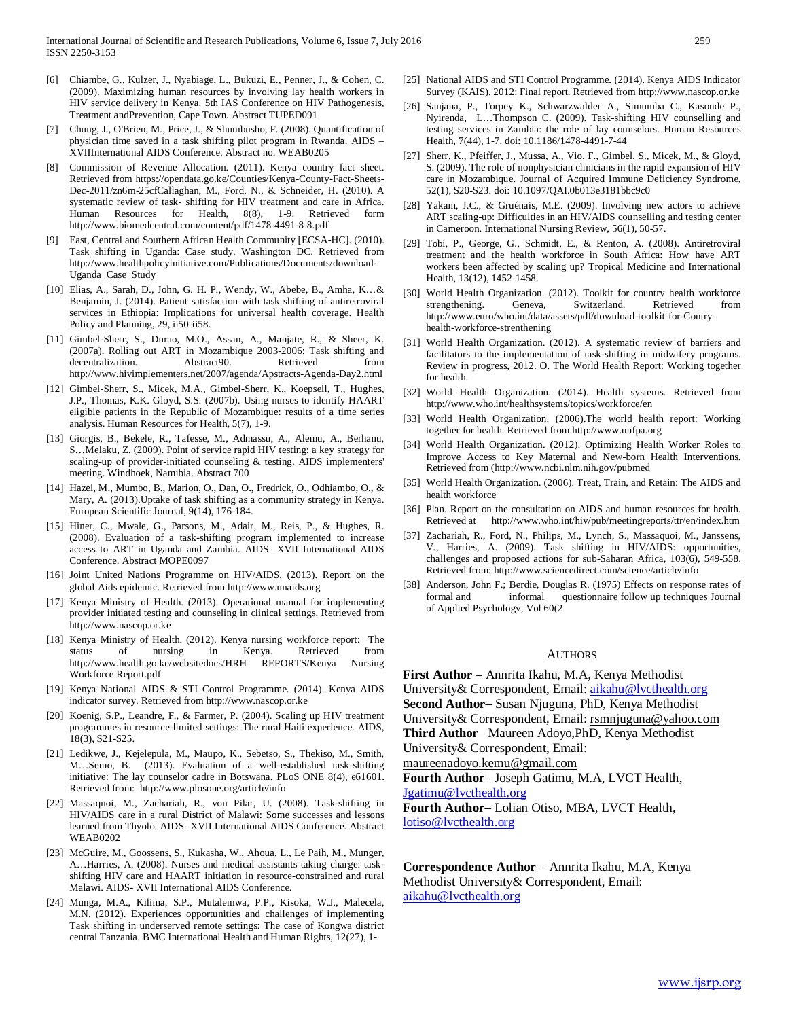- [6] Chiambe, G., Kulzer, J., Nyabiage, L., Bukuzi, E., Penner, J., & Cohen, C. (2009). Maximizing human resources by involving lay health workers in HIV service delivery in Kenya. 5th IAS Conference on HIV Pathogenesis, Treatment andPrevention, Cape Town. Abstract TUPED091
- [7] Chung, J., O'Brien, M., Price, J., & Shumbusho, F. (2008). Quantification of physician time saved in a task shifting pilot program in Rwanda. AIDS – XVIIInternational AIDS Conference. Abstract no. WEAB0205
- [8] Commission of Revenue Allocation. (2011). Kenya country fact sheet. Retrieved from https://opendata.go.ke/Counties/Kenya-County-Fact-Sheets-Dec-2011/zn6m-25cfCallaghan, M., Ford, N., & Schneider, H. (2010). A systematic review of task- shifting for HIV treatment and care in Africa. Human Resources for Health, 8(8), 1-9. Retrieved form http://www.biomedcentral.com/content/pdf/1478-4491-8-8.pdf
- [9] East, Central and Southern African Health Community [ECSA-HC]. (2010). Task shifting in Uganda: Case study. Washington DC. Retrieved from http://www.healthpolicyinitiative.com/Publications/Documents/download-Uganda\_Case\_Study
- [10] Elias, A., Sarah, D., John, G. H. P., Wendy, W., Abebe, B., Amha, K…& Benjamin, J. (2014). Patient satisfaction with task shifting of antiretroviral services in Ethiopia: Implications for universal health coverage. Health Policy and Planning, 29, ii50-ii58.
- [11] Gimbel-Sherr, S., Durao, M.O., Assan, A., Manjate, R., & Sheer, K. (2007a). Rolling out ART in Mozambique 2003-2006: Task shifting and decentralization. Abstract90. Retrieved http://www.hivimplementers.net/2007/agenda/Apstracts-Agenda-Day2.html
- [12] Gimbel-Sherr, S., Micek, M.A., Gimbel-Sherr, K., Koepsell, T., Hughes, J.P., Thomas, K.K. Gloyd, S.S. (2007b). Using nurses to identify HAART eligible patients in the Republic of Mozambique: results of a time series analysis. Human Resources for Health, 5(7), 1-9.
- [13] Giorgis, B., Bekele, R., Tafesse, M., Admassu, A., Alemu, A., Berhanu, S…Melaku, Z. (2009). Point of service rapid HIV testing: a key strategy for scaling-up of provider-initiated counseling & testing. AIDS implementers' meeting. Windhoek, Namibia. Abstract 700
- [14] Hazel, M., Mumbo, B., Marion, O., Dan, O., Fredrick, O., Odhiambo, O., & Mary, A. (2013).Uptake of task shifting as a community strategy in Kenya. European Scientific Journal, 9(14), 176-184.
- [15] Hiner, C., Mwale, G., Parsons, M., Adair, M., Reis, P., & Hughes, R. (2008). Evaluation of a task-shifting program implemented to increase access to ART in Uganda and Zambia. AIDS- XVII International AIDS Conference. Abstract MOPE0097
- [16] Joint United Nations Programme on HIV/AIDS. (2013). Report on the global Aids epidemic. Retrieved from http://www.unaids.org
- [17] Kenya Ministry of Health. (2013). Operational manual for implementing provider initiated testing and counseling in clinical settings. Retrieved from http://www.nascop.or.ke
- [18] Kenya Ministry of Health. (2012). Kenya nursing workforce report: The status of nursing in Kenya. Retrieved from http://www.health.go.ke/websitedocs/HRH REPORTS/Kenya Nursing Workforce Report.pdf
- [19] Kenya National AIDS & STI Control Programme. (2014). Kenya AIDS indicator survey. Retrieved from http://www.nascop.or.ke
- [20] Koenig, S.P., Leandre, F., & Farmer, P. (2004). Scaling up HIV treatment programmes in resource-limited settings: The rural Haiti experience. AIDS, 18(3), S21-S25.
- [21] Ledikwe, J., Kejelepula, M., Maupo, K., Sebetso, S., Thekiso, M., Smith, M…Semo, B. (2013). Evaluation of a well-established task-shifting initiative: The lay counselor cadre in Botswana. PLoS ONE 8(4), e61601. Retrieved from: http://www.plosone.org/article/info
- [22] Massaquoi, M., Zachariah, R., von Pilar, U. (2008). Task-shifting in HIV/AIDS care in a rural District of Malawi: Some successes and lessons learned from Thyolo. AIDS- XVII International AIDS Conference. Abstract WEAB0202
- [23] McGuire, M., Goossens, S., Kukasha, W., Ahoua, L., Le Paih, M., Munger, A…Harries, A. (2008). Nurses and medical assistants taking charge: taskshifting HIV care and HAART initiation in resource-constrained and rural Malawi. AIDS- XVII International AIDS Conference.
- [24] Munga, M.A., Kilima, S.P., Mutalemwa, P.P., Kisoka, W.J., Malecela, M.N. (2012). Experiences opportunities and challenges of implementing Task shifting in underserved remote settings: The case of Kongwa district central Tanzania. BMC International Health and Human Rights, 12(27), 1-
- [25] National AIDS and STI Control Programme. (2014). Kenya AIDS Indicator Survey (KAIS). 2012: Final report. Retrieved from http://www.nascop.or.ke
- [26] Sanjana, P., Torpey K., Schwarzwalder A., Simumba C., Kasonde P., Nyirenda, L…Thompson C. (2009). Task-shifting HIV counselling and testing services in Zambia: the role of lay counselors. Human Resources Health, 7(44), 1-7. doi: 10.1186/1478-4491-7-44
- [27] Sherr, K., Pfeiffer, J., Mussa, A., Vio, F., Gimbel, S., Micek, M., & Gloyd, S. (2009). The role of nonphysician clinicians in the rapid expansion of HIV care in Mozambique. Journal of Acquired Immune Deficiency Syndrome, 52(1), S20-S23. doi: 10.1097/QAI.0b013e3181bbc9c0
- [28] Yakam, J.C., & Gruénais, M.E. (2009). Involving new actors to achieve ART scaling-up: Difficulties in an HIV/AIDS counselling and testing center in Cameroon. International Nursing Review, 56(1), 50-57.
- [29] Tobi, P., George, G., Schmidt, E., & Renton, A. (2008). Antiretroviral treatment and the health workforce in South Africa: How have ART workers been affected by scaling up? Tropical Medicine and International Health, 13(12), 1452-1458.
- [30] World Health Organization. (2012). Toolkit for country health workforce strengthening. Geneva, Switzerland. Retrieved from http://www.euro/who.int/data/assets/pdf/download-toolkit-for-Contryhealth-workforce-strenthening
- [31] World Health Organization. (2012). A systematic review of barriers and facilitators to the implementation of task-shifting in midwifery programs. Review in progress, 2012. O. The World Health Report: Working together for health.
- [32] World Health Organization. (2014). Health systems. Retrieved from http://www.who.int/healthsystems/topics/workforce/en
- [33] World Health Organization. (2006). The world health report: Working together for health. Retrieved from http://www.unfpa.org
- [34] World Health Organization. (2012). Optimizing Health Worker Roles to Improve Access to Key Maternal and New-born Health Interventions. Retrieved from (http://www.ncbi.nlm.nih.gov/pubmed
- [35] World Health Organization. (2006). Treat, Train, and Retain: The AIDS and health workforce
- [36] Plan. Report on the consultation on AIDS and human resources for health. Retrieved at http://www.who.int/hiv/pub/meetingreports/ttr/en/index.htm
- [37] Zachariah, R., Ford, N., Philips, M., Lynch, S., Massaquoi, M., Janssens, V., Harries, A. (2009). Task shifting in HIV/AIDS: opportunities, challenges and proposed actions for sub-Saharan Africa, 103(6), 549-558. Retrieved from: http://www.sciencedirect.com/science/article/info
- [38] Anderson, John F.; Berdie, Douglas R. (1975) Effects on response rates of formal and informal questionnaire follow up techniques Journal of Applied Psychology, Vol 60(2

#### AUTHORS

**First Author** – Annrita Ikahu, M.A, Kenya Methodist University& Correspondent, Email: [aikahu@lvcthealth.org](mailto:aikahu@lvcthealth.org) **Second Author**– Susan Njuguna, PhD, Kenya Methodist University& Correspondent, Email: rsmnjuguna@yahoo.com **Third Author**– Maureen Adoyo,PhD, Kenya Methodist University& Correspondent, Email:

maureenadoyo.kemu@gmail.com

**Fourth Author**– Joseph Gatimu, M.A, LVCT Health,

[Jgatimu@lvcthealth.org](mailto:Jgatimu@lvcthealth.org)

**Fourth Author**– Lolian Otiso, MBA, LVCT Health, [lotiso@lvcthealth.org](mailto:lotiso@lvcthealth.org)

**Correspondence Author** – Annrita Ikahu, M.A, Kenya Methodist University& Correspondent, Email: [aikahu@lvcthealth.org](mailto:aikahu@lvcthealth.org)